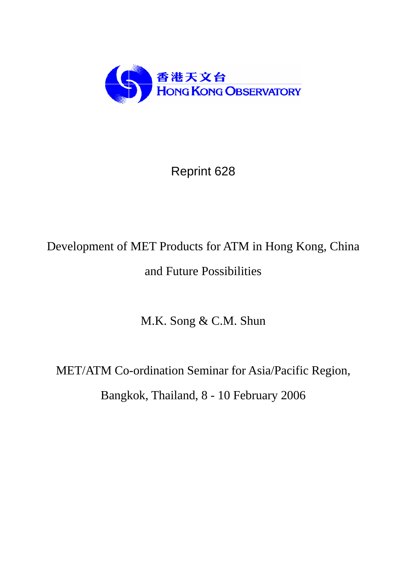

Reprint 628

# Development of MET Products for ATM in Hong Kong, China and Future Possibilities

M.K. Song & C.M. Shun

MET/ATM Co-ordination Seminar for Asia/Pacific Region, Bangkok, Thailand, 8 - 10 February 2006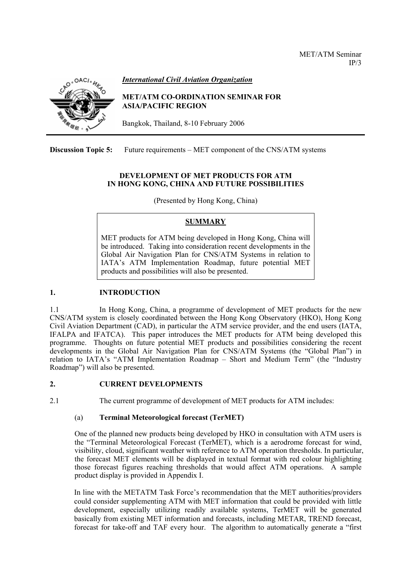

## *International Civil Aviation Organization*

#### **MET/ATM CO-ORDINATION SEMINAR FOR ASIA/PACIFIC REGION**

Bangkok, Thailand, 8-10 February 2006

**Discussion Topic 5:** Future requirements – MET component of the CNS/ATM systems

## **DEVELOPMENT OF MET PRODUCTS FOR ATM IN HONG KONG, CHINA AND FUTURE POSSIBILITIES**

(Presented by Hong Kong, China)

# **SUMMARY**

MET products for ATM being developed in Hong Kong, China will be introduced. Taking into consideration recent developments in the Global Air Navigation Plan for CNS/ATM Systems in relation to IATA's ATM Implementation Roadmap, future potential MET products and possibilities will also be presented.

# **1. INTRODUCTION**

1.1 In Hong Kong, China, a programme of development of MET products for the new CNS/ATM system is closely coordinated between the Hong Kong Observatory (HKO), Hong Kong Civil Aviation Department (CAD), in particular the ATM service provider, and the end users (IATA, IFALPA and IFATCA). This paper introduces the MET products for ATM being developed this programme. Thoughts on future potential MET products and possibilities considering the recent developments in the Global Air Navigation Plan for CNS/ATM Systems (the "Global Plan") in relation to IATA's "ATM Implementation Roadmap – Short and Medium Term" (the "Industry Roadmap") will also be presented.

# **2. CURRENT DEVELOPMENTS**

2.1 The current programme of development of MET products for ATM includes:

# (a) **Terminal Meteorological forecast (TerMET)**

One of the planned new products being developed by HKO in consultation with ATM users is the "Terminal Meteorological Forecast (TerMET), which is a aerodrome forecast for wind, visibility, cloud, significant weather with reference to ATM operation thresholds. In particular, the forecast MET elements will be displayed in textual format with red colour highlighting those forecast figures reaching thresholds that would affect ATM operations. A sample product display is provided in Appendix I.

In line with the METATM Task Force's recommendation that the MET authorities/providers could consider supplementing ATM with MET information that could be provided with little development, especially utilizing readily available systems, TerMET will be generated basically from existing MET information and forecasts, including METAR, TREND forecast, forecast for take-off and TAF every hour. The algorithm to automatically generate a "first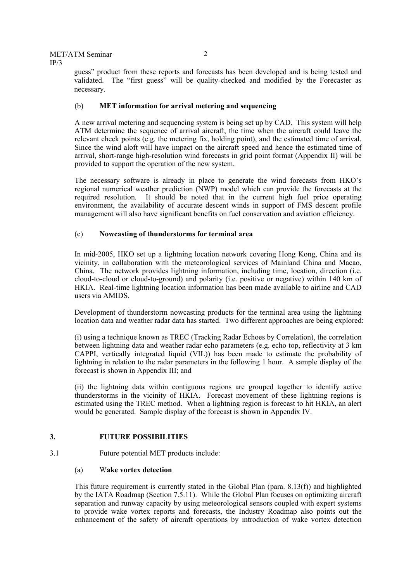guess" product from these reports and forecasts has been developed and is being tested and validated. The "first guess" will be quality-checked and modified by the Forecaster as necessary.

#### (b) **MET information for arrival metering and sequencing**

A new arrival metering and sequencing system is being set up by CAD. This system will help ATM determine the sequence of arrival aircraft, the time when the aircraft could leave the relevant check points (e.g. the metering fix, holding point), and the estimated time of arrival. Since the wind aloft will have impact on the aircraft speed and hence the estimated time of arrival, short-range high-resolution wind forecasts in grid point format (Appendix II) will be provided to support the operation of the new system.

The necessary software is already in place to generate the wind forecasts from HKO's regional numerical weather prediction (NWP) model which can provide the forecasts at the required resolution. It should be noted that in the current high fuel price operating environment, the availability of accurate descent winds in support of FMS descent profile management will also have significant benefits on fuel conservation and aviation efficiency.

## (c) **Nowcasting of thunderstorms for terminal area**

In mid-2005, HKO set up a lightning location network covering Hong Kong, China and its vicinity, in collaboration with the meteorological services of Mainland China and Macao, China. The network provides lightning information, including time, location, direction (i.e. cloud-to-cloud or cloud-to-ground) and polarity (i.e. positive or negative) within 140 km of HKIA. Real-time lightning location information has been made available to airline and CAD users via AMIDS.

Development of thunderstorm nowcasting products for the terminal area using the lightning location data and weather radar data has started. Two different approaches are being explored:

(i) using a technique known as TREC (Tracking Radar Echoes by Correlation), the correlation between lightning data and weather radar echo parameters (e.g. echo top, reflectivity at 3 km CAPPI, vertically integrated liquid (VIL)) has been made to estimate the probability of lightning in relation to the radar parameters in the following 1 hour. A sample display of the forecast is shown in Appendix III; and

(ii) the lightning data within contiguous regions are grouped together to identify active thunderstorms in the vicinity of HKIA. Forecast movement of these lightning regions is estimated using the TREC method. When a lightning region is forecast to hit HKIA, an alert would be generated. Sample display of the forecast is shown in Appendix IV.

#### **3. FUTURE POSSIBILITIES**

3.1 Future potential MET products include:

#### (a) W**ake vortex detection**

This future requirement is currently stated in the Global Plan (para.  $8.13(f)$ ) and highlighted by the IATA Roadmap (Section 7.5.11). While the Global Plan focuses on optimizing aircraft separation and runway capacity by using meteorological sensors coupled with expert systems to provide wake vortex reports and forecasts, the Industry Roadmap also points out the enhancement of the safety of aircraft operations by introduction of wake vortex detection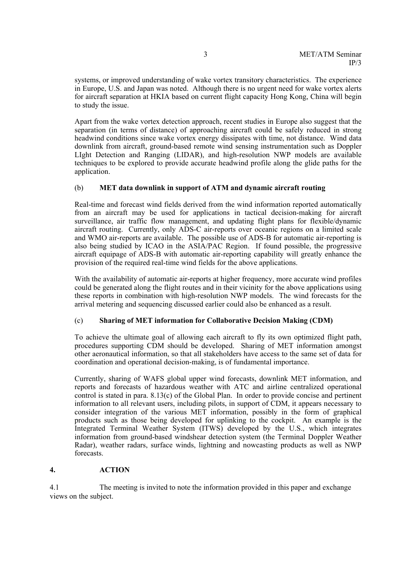systems, or improved understanding of wake vortex transitory characteristics. The experience in Europe, U.S. and Japan was noted. Although there is no urgent need for wake vortex alerts for aircraft separation at HKIA based on current flight capacity Hong Kong, China will begin to study the issue.

Apart from the wake vortex detection approach, recent studies in Europe also suggest that the separation (in terms of distance) of approaching aircraft could be safely reduced in strong headwind conditions since wake vortex energy dissipates with time, not distance. Wind data downlink from aircraft, ground-based remote wind sensing instrumentation such as Doppler LIght Detection and Ranging (LIDAR), and high-resolution NWP models are available techniques to be explored to provide accurate headwind profile along the glide paths for the application.

## (b) **MET data downlink in support of ATM and dynamic aircraft routing**

Real-time and forecast wind fields derived from the wind information reported automatically from an aircraft may be used for applications in tactical decision-making for aircraft surveillance, air traffic flow management, and updating flight plans for flexible/dynamic aircraft routing. Currently, only ADS-C air-reports over oceanic regions on a limited scale and WMO air-reports are available. The possible use of ADS-B for automatic air-reporting is also being studied by ICAO in the ASIA/PAC Region. If found possible, the progressive aircraft equipage of ADS-B with automatic air-reporting capability will greatly enhance the provision of the required real-time wind fields for the above applications.

With the availability of automatic air-reports at higher frequency, more accurate wind profiles could be generated along the flight routes and in their vicinity for the above applications using these reports in combination with high-resolution NWP models. The wind forecasts for the arrival metering and sequencing discussed earlier could also be enhanced as a result.

#### (c) **Sharing of MET information for Collaborative Decision Making (CDM)**

To achieve the ultimate goal of allowing each aircraft to fly its own optimized flight path, procedures supporting CDM should be developed. Sharing of MET information amongst other aeronautical information, so that all stakeholders have access to the same set of data for coordination and operational decision-making, is of fundamental importance.

Currently, sharing of WAFS global upper wind forecasts, downlink MET information, and reports and forecasts of hazardous weather with ATC and airline centralized operational control is stated in para. 8.13(c) of the Global Plan. In order to provide concise and pertinent information to all relevant users, including pilots, in support of CDM, it appears necessary to consider integration of the various MET information, possibly in the form of graphical products such as those being developed for uplinking to the cockpit. An example is the Integrated Terminal Weather System (ITWS) developed by the U.S., which integrates information from ground-based windshear detection system (the Terminal Doppler Weather Radar), weather radars, surface winds, lightning and nowcasting products as well as NWP forecasts.

#### **4. ACTION**

4.1 The meeting is invited to note the information provided in this paper and exchange views on the subject.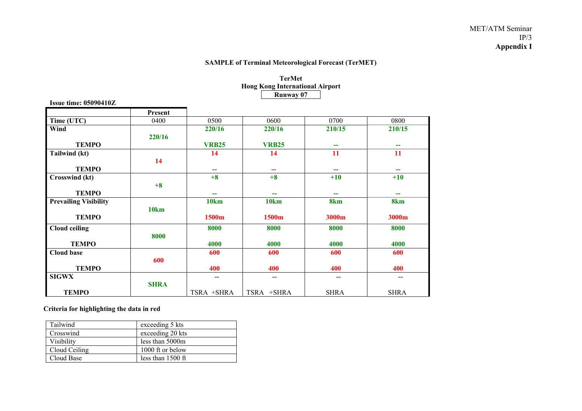#### MET/ATM Seminar IP/3 **Appendix I**

## **SAMPLE of Terminal Meteorological Forecast (TerMET)**

**TerMet** 

|                              |             | <b>Hong Kong International Airport</b> |                  |                 |                 |
|------------------------------|-------------|----------------------------------------|------------------|-----------------|-----------------|
|                              |             |                                        | <b>Runway 07</b> |                 |                 |
| <b>Issue time: 05090410Z</b> |             |                                        |                  |                 |                 |
|                              | Present     |                                        |                  |                 |                 |
| Time (UTC)                   | 0400        | 0500                                   | 0600             | 0700            | 0800            |
| Wind                         |             | 220/16                                 | 220/16           | 210/15          | 210/15          |
|                              | 220/16      |                                        |                  |                 |                 |
| <b>TEMPO</b>                 |             | <b>VRB25</b>                           | <b>VRB25</b>     | --              | --              |
| Tailwind (kt)                |             | 14                                     | 14               | 11              | 11              |
|                              | 14          |                                        |                  |                 |                 |
| <b>TEMPO</b>                 |             |                                        |                  |                 |                 |
| <b>Crosswind</b> (kt)        |             | $+8$                                   | $+8$             | $+10$           | $+10$           |
|                              | $+8$        |                                        |                  |                 |                 |
| <b>TEMPO</b>                 |             | $\overline{\phantom{m}}$               | --               | --              | $-$             |
| <b>Prevailing Visibility</b> |             | <b>10km</b>                            | <b>10km</b>      | 8 <sub>km</sub> | 8 <sub>km</sub> |
|                              | <b>10km</b> |                                        |                  |                 |                 |
| <b>TEMPO</b>                 |             | 1500m                                  | 1500m            | 3000m           | 3000m           |
| <b>Cloud ceiling</b>         |             | 8000                                   | 8000             | 8000            | 8000            |
|                              | 8000        |                                        |                  |                 |                 |
| <b>TEMPO</b>                 |             | 4000                                   | 4000             | 4000            | 4000            |
| <b>Cloud base</b>            |             | 600                                    | 600              | 600             | 600             |
|                              | 600         |                                        |                  |                 |                 |
| <b>TEMPO</b>                 |             | 400                                    | 400              | 400             | 400             |
| <b>SIGWX</b>                 |             | $\overline{\phantom{a}}$               | --               | --              | --              |
|                              | <b>SHRA</b> |                                        |                  |                 |                 |
| <b>TEMPO</b>                 |             | TSRA +SHRA                             | TSRA +SHRA       | <b>SHRA</b>     | <b>SHRA</b>     |

## **Criteria for highlighting the data in red**

| Tailwind      | exceeding 5 kts     |
|---------------|---------------------|
| Crosswind     | exceeding 20 kts    |
| Visibility    | less than 5000m     |
| Cloud Ceiling | 1000 ft or below    |
| Cloud Base    | less than $1500$ ft |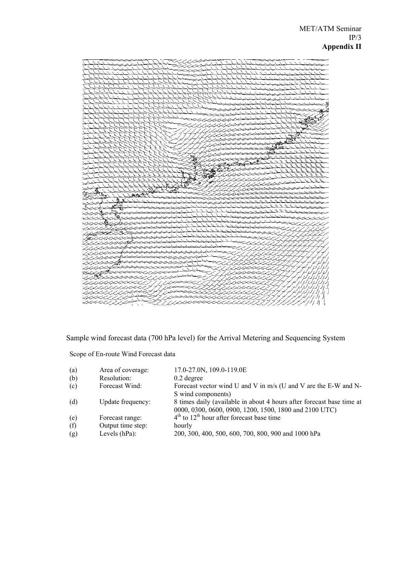

Sample wind forecast data (700 hPa level) for the Arrival Metering and Sequencing System

Scope of En-route Wind Forecast data

| (a) | Area of coverage: | 17.0-27.0N, 109.0-119.0E                                                                                                        |
|-----|-------------------|---------------------------------------------------------------------------------------------------------------------------------|
| (b) | Resolution:       | $0.2$ degree                                                                                                                    |
| (c) | Forecast Wind:    | Forecast vector wind U and V in m/s (U and V are the E-W and N-                                                                 |
|     |                   | S wind components)                                                                                                              |
| (d) | Update frequency: | 8 times daily (available in about 4 hours after forecast base time at<br>0000, 0300, 0600, 0900, 1200, 1500, 1800 and 2100 UTC) |
| (e) | Forecast range:   | $4th$ to $12th$ hour after forecast base time                                                                                   |
| (f) | Output time step: | hourly                                                                                                                          |
| (g) | Levels $(hPa)$ :  | 200, 300, 400, 500, 600, 700, 800, 900 and 1000 hPa                                                                             |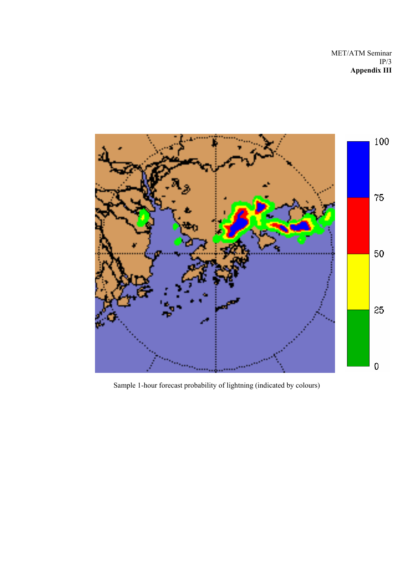

Sample 1-hour forecast probability of lightning (indicated by colours)